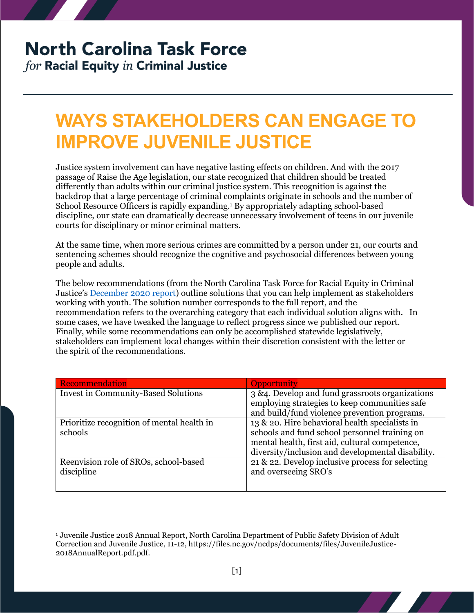## **North Carolina Task Force**

for Racial Equity in Criminal Justice

## **WAYS STAKEHOLDERS CAN ENGAGE TO IMPROVE JUVENILE JUSTICE**

Justice system involvement can have negative lasting effects on children. And with the 2017 passage of Raise the Age legislation, our state recognized that children should be treated differently than adults within our criminal justice system. This recognition is against the backdrop that a large percentage of criminal complaints originate in schools and the number of School Resource Officers is rapidly expanding.<sup>1</sup> By appropriately adapting school-based discipline, our state can dramatically decrease unnecessary involvement of teens in our juvenile courts for disciplinary or minor criminal matters.

At the same time, when more serious crimes are committed by a person under 21, our courts and sentencing schemes should recognize the cognitive and psychosocial differences between young people and adults.

The below recommendations (from the North Carolina Task Force for Racial Equity in Criminal Justice's [December 2020 report\)](https://ncdoj.gov/wp-content/uploads/2021/02/TRECReportFinal_02262021.pdf) outline solutions that you can help implement as stakeholders working with youth. The solution number corresponds to the full report, and the recommendation refers to the overarching category that each individual solution aligns with. In some cases, we have tweaked the language to reflect progress since we published our report. Finally, while some recommendations can only be accomplished statewide legislatively, stakeholders can implement local changes within their discretion consistent with the letter or the spirit of the recommendations.

| Recommendation                             | <b>Opportunity</b>                                |
|--------------------------------------------|---------------------------------------------------|
| <b>Invest in Community-Based Solutions</b> | 3 & 4. Develop and fund grassroots organizations  |
|                                            | employing strategies to keep communities safe     |
|                                            | and build/fund violence prevention programs.      |
| Prioritize recognition of mental health in | 13 & 20. Hire behavioral health specialists in    |
| schools                                    | schools and fund school personnel training on     |
|                                            | mental health, first aid, cultural competence,    |
|                                            | diversity/inclusion and developmental disability. |
| Reenvision role of SROs, school-based      | 21 & 22. Develop inclusive process for selecting  |
| discipline                                 | and overseeing SRO's                              |
|                                            |                                                   |

 $\overline{a}$ <sup>1</sup> Juvenile Justice 2018 Annual Report, North Carolina Department of Public Safety Division of Adult Correction and Juvenile Justice, 11-12, https://files.nc.gov/ncdps/documents/files/JuvenileJustice-2018AnnualReport.pdf.pdf.